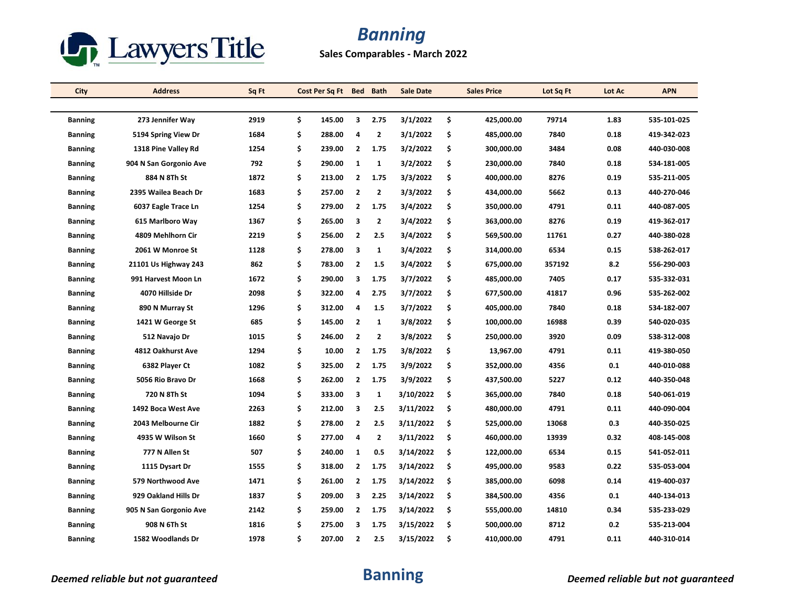

## *Banning*

**Sales Comparables - March 2022**

| City           | <b>Address</b>         | Sq Ft |    | Cost Per Sq Ft |                | Bed Bath     | <b>Sale Date</b> |    | <b>Sales Price</b> | Lot Sq Ft | Lot Ac | <b>APN</b>  |
|----------------|------------------------|-------|----|----------------|----------------|--------------|------------------|----|--------------------|-----------|--------|-------------|
|                |                        |       |    |                |                |              |                  |    |                    |           |        |             |
| <b>Banning</b> | 273 Jennifer Way       | 2919  | \$ | 145.00         | 3              | 2.75         | 3/1/2022         | \$ | 425,000.00         | 79714     | 1.83   | 535-101-025 |
| <b>Banning</b> | 5194 Spring View Dr    | 1684  | \$ | 288.00         | 4              | $\mathbf{2}$ | 3/1/2022         | \$ | 485,000.00         | 7840      | 0.18   | 419-342-023 |
| <b>Banning</b> | 1318 Pine Valley Rd    | 1254  | \$ | 239.00         | $\overline{2}$ | 1.75         | 3/2/2022         | \$ | 300,000.00         | 3484      | 0.08   | 440-030-008 |
| <b>Banning</b> | 904 N San Gorgonio Ave | 792   | \$ | 290.00         | 1              | 1            | 3/2/2022         | \$ | 230,000.00         | 7840      | 0.18   | 534-181-005 |
| <b>Banning</b> | 884 N 8Th St           | 1872  | \$ | 213.00         | 2              | 1.75         | 3/3/2022         | \$ | 400,000.00         | 8276      | 0.19   | 535-211-005 |
| <b>Banning</b> | 2395 Wailea Beach Dr   | 1683  | \$ | 257.00         | $\overline{2}$ | $\mathbf{2}$ | 3/3/2022         | \$ | 434,000.00         | 5662      | 0.13   | 440-270-046 |
| <b>Banning</b> | 6037 Eagle Trace Ln    | 1254  | \$ | 279.00         | $\overline{2}$ | 1.75         | 3/4/2022         | \$ | 350,000.00         | 4791      | 0.11   | 440-087-005 |
| <b>Banning</b> | 615 Marlboro Way       | 1367  | \$ | 265.00         | 3              | $\mathbf{2}$ | 3/4/2022         | \$ | 363,000.00         | 8276      | 0.19   | 419-362-017 |
| <b>Banning</b> | 4809 Mehlhorn Cir      | 2219  | \$ | 256.00         | $\overline{2}$ | 2.5          | 3/4/2022         | \$ | 569,500.00         | 11761     | 0.27   | 440-380-028 |
| <b>Banning</b> | 2061 W Monroe St       | 1128  | \$ | 278.00         | 3              | $\mathbf{1}$ | 3/4/2022         | \$ | 314,000.00         | 6534      | 0.15   | 538-262-017 |
| <b>Banning</b> | 21101 Us Highway 243   | 862   | \$ | 783.00         | $\overline{2}$ | 1.5          | 3/4/2022         | \$ | 675,000.00         | 357192    | 8.2    | 556-290-003 |
| <b>Banning</b> | 991 Harvest Moon Ln    | 1672  | \$ | 290.00         | 3              | 1.75         | 3/7/2022         | \$ | 485,000.00         | 7405      | 0.17   | 535-332-031 |
| <b>Banning</b> | 4070 Hillside Dr       | 2098  | \$ | 322.00         | 4              | 2.75         | 3/7/2022         | \$ | 677,500.00         | 41817     | 0.96   | 535-262-002 |
| <b>Banning</b> | 890 N Murray St        | 1296  | \$ | 312.00         | 4              | 1.5          | 3/7/2022         | \$ | 405,000.00         | 7840      | 0.18   | 534-182-007 |
| <b>Banning</b> | 1421 W George St       | 685   | \$ | 145.00         | $\overline{2}$ | 1            | 3/8/2022         | \$ | 100,000.00         | 16988     | 0.39   | 540-020-035 |
| <b>Banning</b> | 512 Navajo Dr          | 1015  | \$ | 246.00         | $\overline{2}$ | 2            | 3/8/2022         | \$ | 250,000.00         | 3920      | 0.09   | 538-312-008 |
| <b>Banning</b> | 4812 Oakhurst Ave      | 1294  | \$ | 10.00          | 2              | 1.75         | 3/8/2022         | \$ | 13,967.00          | 4791      | 0.11   | 419-380-050 |
| <b>Banning</b> | 6382 Player Ct         | 1082  | \$ | 325.00         | $\overline{2}$ | 1.75         | 3/9/2022         | \$ | 352,000.00         | 4356      | 0.1    | 440-010-088 |
| <b>Banning</b> | 5056 Rio Bravo Dr      | 1668  | \$ | 262.00         | $\overline{2}$ | 1.75         | 3/9/2022         | \$ | 437,500.00         | 5227      | 0.12   | 440-350-048 |
| <b>Banning</b> | 720 N 8Th St           | 1094  | \$ | 333.00         | 3              | 1            | 3/10/2022        | \$ | 365,000.00         | 7840      | 0.18   | 540-061-019 |
| <b>Banning</b> | 1492 Boca West Ave     | 2263  | \$ | 212.00         | 3              | 2.5          | 3/11/2022        | \$ | 480,000.00         | 4791      | 0.11   | 440-090-004 |
| <b>Banning</b> | 2043 Melbourne Cir     | 1882  | \$ | 278.00         | $\overline{2}$ | 2.5          | 3/11/2022        | \$ | 525,000.00         | 13068     | 0.3    | 440-350-025 |
| <b>Banning</b> | 4935 W Wilson St       | 1660  | \$ | 277.00         | 4              | 2            | 3/11/2022        | \$ | 460,000.00         | 13939     | 0.32   | 408-145-008 |
| <b>Banning</b> | 777 N Allen St         | 507   | \$ | 240.00         | 1              | 0.5          | 3/14/2022        | \$ | 122,000.00         | 6534      | 0.15   | 541-052-011 |
| <b>Banning</b> | 1115 Dysart Dr         | 1555  | \$ | 318.00         | $\overline{2}$ | 1.75         | 3/14/2022        | \$ | 495,000.00         | 9583      | 0.22   | 535-053-004 |
| <b>Banning</b> | 579 Northwood Ave      | 1471  | \$ | 261.00         | $\overline{2}$ | 1.75         | 3/14/2022        | \$ | 385,000.00         | 6098      | 0.14   | 419-400-037 |
| <b>Banning</b> | 929 Oakland Hills Dr   | 1837  | \$ | 209.00         | 3              | 2.25         | 3/14/2022        | \$ | 384,500.00         | 4356      | 0.1    | 440-134-013 |
| <b>Banning</b> | 905 N San Gorgonio Ave | 2142  | \$ | 259.00         | $\overline{2}$ | 1.75         | 3/14/2022        | \$ | 555,000.00         | 14810     | 0.34   | 535-233-029 |
| <b>Banning</b> | 908 N 6Th St           | 1816  | \$ | 275.00         | 3              | 1.75         | 3/15/2022        | \$ | 500,000.00         | 8712      | 0.2    | 535-213-004 |
| <b>Banning</b> | 1582 Woodlands Dr      | 1978  | Ś. | 207.00         | $\overline{2}$ | 2.5          | 3/15/2022        | Ŝ. | 410,000.00         | 4791      | 0.11   | 440-310-014 |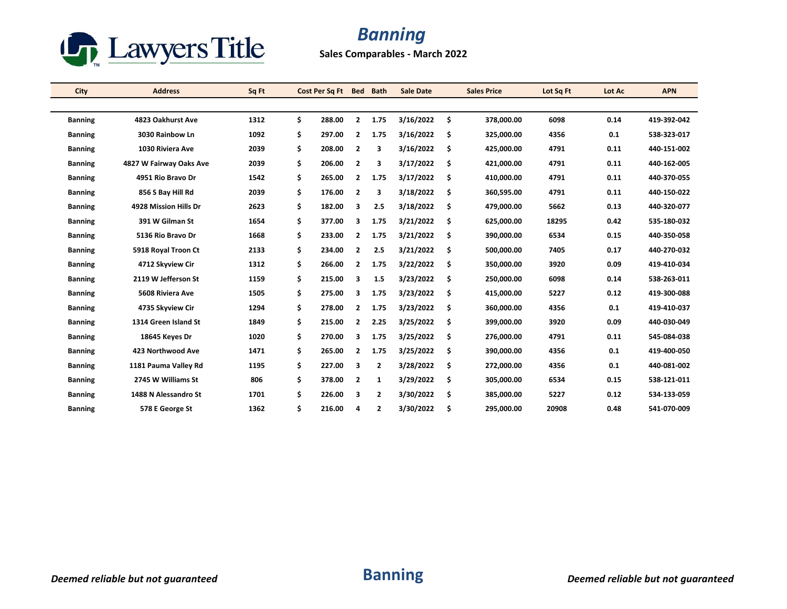

## *Banning*

**Sales Comparables - March 2022**

| City           | <b>Address</b>          | Sq Ft | Cost Per Sa Ft | <b>Bed</b>              | <b>Bath</b>    | <b>Sale Date</b> |     | <b>Sales Price</b> | Lot Sq Ft | Lot Ac | <b>APN</b>  |
|----------------|-------------------------|-------|----------------|-------------------------|----------------|------------------|-----|--------------------|-----------|--------|-------------|
|                |                         |       |                |                         |                |                  |     |                    |           |        |             |
| <b>Banning</b> | 4823 Oakhurst Ave       | 1312  | \$<br>288.00   | 2                       | 1.75           | 3/16/2022        | \$  | 378,000.00         | 6098      | 0.14   | 419-392-042 |
| <b>Banning</b> | 3030 Rainbow Ln         | 1092  | \$<br>297.00   | 2                       | 1.75           | 3/16/2022        | \$  | 325,000.00         | 4356      | 0.1    | 538-323-017 |
| <b>Banning</b> | 1030 Riviera Ave        | 2039  | \$<br>208.00   | $\overline{2}$          | 3              | 3/16/2022        | \$  | 425,000.00         | 4791      | 0.11   | 440-151-002 |
| <b>Banning</b> | 4827 W Fairway Oaks Ave | 2039  | \$<br>206.00   | $\overline{\mathbf{2}}$ | 3              | 3/17/2022        | \$  | 421,000.00         | 4791      | 0.11   | 440-162-005 |
| <b>Banning</b> | 4951 Rio Bravo Dr       | 1542  | \$<br>265.00   | 2                       | 1.75           | 3/17/2022        | Ś   | 410,000.00         | 4791      | 0.11   | 440-370-055 |
| <b>Banning</b> | 856 S Bay Hill Rd       | 2039  | \$<br>176.00   | $\overline{2}$          | 3              | 3/18/2022        | \$  | 360,595.00         | 4791      | 0.11   | 440-150-022 |
| <b>Banning</b> | 4928 Mission Hills Dr   | 2623  | \$<br>182.00   | 3                       | 2.5            | 3/18/2022        | \$. | 479,000.00         | 5662      | 0.13   | 440-320-077 |
| <b>Banning</b> | 391 W Gilman St         | 1654  | \$<br>377.00   | 3                       | 1.75           | 3/21/2022        | \$  | 625,000.00         | 18295     | 0.42   | 535-180-032 |
| <b>Banning</b> | 5136 Rio Bravo Dr       | 1668  | \$<br>233.00   | 2                       | 1.75           | 3/21/2022        | \$  | 390,000.00         | 6534      | 0.15   | 440-350-058 |
| <b>Banning</b> | 5918 Royal Troon Ct     | 2133  | \$<br>234.00   | $\overline{2}$          | 2.5            | 3/21/2022        | \$  | 500,000.00         | 7405      | 0.17   | 440-270-032 |
| <b>Banning</b> | 4712 Skyview Cir        | 1312  | \$<br>266.00   | 2                       | 1.75           | 3/22/2022        | \$  | 350,000.00         | 3920      | 0.09   | 419-410-034 |
| <b>Banning</b> | 2119 W Jefferson St     | 1159  | \$<br>215.00   | з                       | 1.5            | 3/23/2022        | \$  | 250,000.00         | 6098      | 0.14   | 538-263-011 |
| <b>Banning</b> | 5608 Riviera Ave        | 1505  | \$<br>275.00   | з                       | 1.75           | 3/23/2022        | \$  | 415,000.00         | 5227      | 0.12   | 419-300-088 |
| <b>Banning</b> | 4735 Skyview Cir        | 1294  | \$<br>278.00   | $\overline{2}$          | 1.75           | 3/23/2022        | \$  | 360,000.00         | 4356      | 0.1    | 419-410-037 |
| <b>Banning</b> | 1314 Green Island St    | 1849  | \$<br>215.00   | $\overline{2}$          | 2.25           | 3/25/2022        | \$. | 399,000.00         | 3920      | 0.09   | 440-030-049 |
| <b>Banning</b> | 18645 Keyes Dr          | 1020  | \$<br>270.00   | 3                       | 1.75           | 3/25/2022        | \$  | 276,000.00         | 4791      | 0.11   | 545-084-038 |
| <b>Banning</b> | 423 Northwood Ave       | 1471  | \$<br>265.00   | $\mathbf{2}$            | 1.75           | 3/25/2022        | \$  | 390,000.00         | 4356      | 0.1    | 419-400-050 |
| <b>Banning</b> | 1181 Pauma Valley Rd    | 1195  | \$<br>227.00   | 3                       | $\overline{2}$ | 3/28/2022        | \$  | 272,000.00         | 4356      | 0.1    | 440-081-002 |
| <b>Banning</b> | 2745 W Williams St      | 806   | \$<br>378.00   | $\overline{\mathbf{2}}$ | 1              | 3/29/2022        | \$. | 305,000.00         | 6534      | 0.15   | 538-121-011 |
| <b>Banning</b> | 1488 N Alessandro St    | 1701  | \$<br>226.00   | 3                       | 2              | 3/30/2022        | \$  | 385,000.00         | 5227      | 0.12   | 534-133-059 |
| <b>Banning</b> | 578 E George St         | 1362  | \$<br>216.00   | 4                       | $\overline{2}$ | 3/30/2022        | \$  | 295,000.00         | 20908     | 0.48   | 541-070-009 |